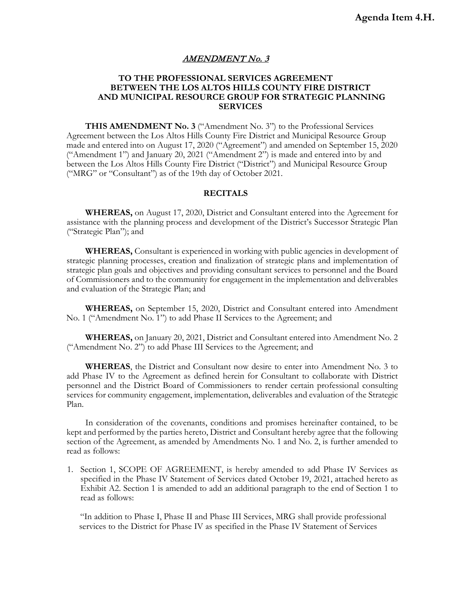#### AMENDMENT No. 3

#### **TO THE PROFESSIONAL SERVICES AGREEMENT BETWEEN THE LOS ALTOS HILLS COUNTY FIRE DISTRICT AND MUNICIPAL RESOURCE GROUP FOR STRATEGIC PLANNING SERVICES**

**THIS AMENDMENT No. 3** ("Amendment No. 3") to the Professional Services Agreement between the Los Altos Hills County Fire District and Municipal Resource Group made and entered into on August 17, 2020 ("Agreement") and amended on September 15, 2020 ("Amendment 1") and January 20, 2021 ("Amendment 2") is made and entered into by and between the Los Altos Hills County Fire District ("District") and Municipal Resource Group ("MRG" or "Consultant") as of the 19th day of October 2021.

#### **RECITALS**

**WHEREAS,** on August 17, 2020, District and Consultant entered into the Agreement for assistance with the planning process and development of the District's Successor Strategic Plan ("Strategic Plan"); and

**WHEREAS,** Consultant is experienced in working with public agencies in development of strategic planning processes, creation and finalization of strategic plans and implementation of strategic plan goals and objectives and providing consultant services to personnel and the Board of Commissioners and to the community for engagement in the implementation and deliverables and evaluation of the Strategic Plan; and

**WHEREAS,** on September 15, 2020, District and Consultant entered into Amendment No. 1 ("Amendment No. 1") to add Phase II Services to the Agreement; and

**WHEREAS,** on January 20, 2021, District and Consultant entered into Amendment No. 2 ("Amendment No. 2") to add Phase III Services to the Agreement; and

**WHEREAS**, the District and Consultant now desire to enter into Amendment No. 3 to add Phase IV to the Agreement as defined herein for Consultant to collaborate with District personnel and the District Board of Commissioners to render certain professional consulting services for community engagement, implementation, deliverables and evaluation of the Strategic Plan.

In consideration of the covenants, conditions and promises hereinafter contained, to be kept and performed by the parties hereto, District and Consultant hereby agree that the following section of the Agreement, as amended by Amendments No. 1 and No. 2, is further amended to read as follows:

1. Section 1, SCOPE OF AGREEMENT, is hereby amended to add Phase IV Services as specified in the Phase IV Statement of Services dated October 19, 2021, attached hereto as Exhibit A2. Section 1 is amended to add an additional paragraph to the end of Section 1 to read as follows:

"In addition to Phase I, Phase II and Phase III Services, MRG shall provide professional services to the District for Phase IV as specified in the Phase IV Statement of Services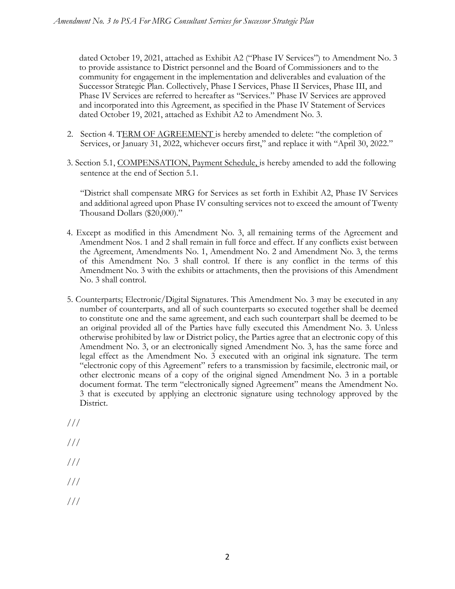dated October 19, 2021, attached as Exhibit A2 ("Phase IV Services") to Amendment No. 3 to provide assistance to District personnel and the Board of Commissioners and to the community for engagement in the implementation and deliverables and evaluation of the Successor Strategic Plan. Collectively, Phase I Services, Phase II Services, Phase III, and Phase IV Services are referred to hereafter as "Services." Phase IV Services are approved and incorporated into this Agreement, as specified in the Phase IV Statement of Services dated October 19, 2021, attached as Exhibit A2 to Amendment No. 3.

- 2. Section 4. TERM OF AGREEMENT is hereby amended to delete: "the completion of Services, or January 31, 2022, whichever occurs first," and replace it with "April 30, 2022."
- 3. Section 5.1, COMPENSATION, Payment Schedule, is hereby amended to add the following sentence at the end of Section 5.1.

"District shall compensate MRG for Services as set forth in Exhibit A2, Phase IV Services and additional agreed upon Phase IV consulting services not to exceed the amount of Twenty Thousand Dollars (\$20,000)."

- 4. Except as modified in this Amendment No. 3, all remaining terms of the Agreement and Amendment Nos. 1 and 2 shall remain in full force and effect. If any conflicts exist between the Agreement, Amendments No. 1, Amendment No. 2 and Amendment No. 3, the terms of this Amendment No. 3 shall control. If there is any conflict in the terms of this Amendment No. 3 with the exhibits or attachments, then the provisions of this Amendment No. 3 shall control.
- 5. Counterparts; Electronic/Digital Signatures. This Amendment No. 3 may be executed in any number of counterparts, and all of such counterparts so executed together shall be deemed to constitute one and the same agreement, and each such counterpart shall be deemed to be an original provided all of the Parties have fully executed this Amendment No. 3. Unless otherwise prohibited by law or District policy, the Parties agree that an electronic copy of this Amendment No. 3, or an electronically signed Amendment No. 3, has the same force and legal effect as the Amendment No. 3 executed with an original ink signature. The term "electronic copy of this Agreement" refers to a transmission by facsimile, electronic mail, or other electronic means of a copy of the original signed Amendment No. 3 in a portable document format. The term "electronically signed Agreement" means the Amendment No. 3 that is executed by applying an electronic signature using technology approved by the District.

///

/// /// ///

///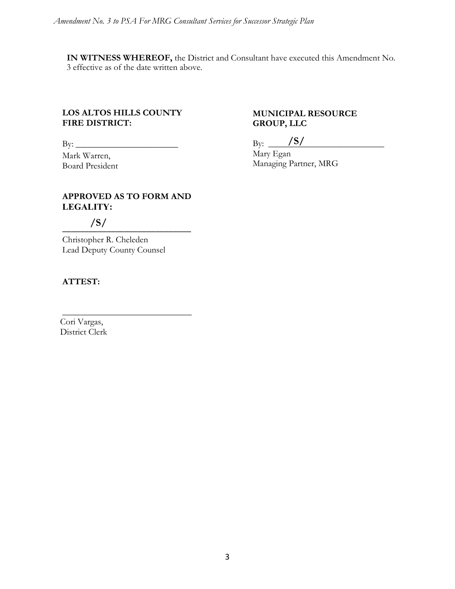**IN WITNESS WHEREOF,** the District and Consultant have executed this Amendment No. 3 effective as of the date written above.

### **LOS ALTOS HILLS COUNTY FIRE DISTRICT:**

By: \_\_\_\_\_\_\_\_\_\_\_\_\_\_\_\_\_\_\_\_\_\_\_

Mark Warren, Board President

## **MUNICIPAL RESOURCE GROUP, LLC**

By: **\_\_\_\_\_\_\_\_\_\_\_\_\_\_\_\_\_\_\_\_\_\_\_\_\_\_ /S/**Mary Egan Managing Partner, MRG

#### **APPROVED AS TO FORM AND LEGALITY:**

 $\mathcal{L}=\mathcal{L}^{\mathcal{L}}$ 

**/S/**

Christopher R. Cheleden Lead Deputy County Counsel

 **\_\_\_\_\_\_\_\_\_\_\_\_\_\_\_\_\_\_\_\_\_\_\_\_\_\_\_\_\_** 

# **ATTEST:**

 Cori Vargas, District Clerk